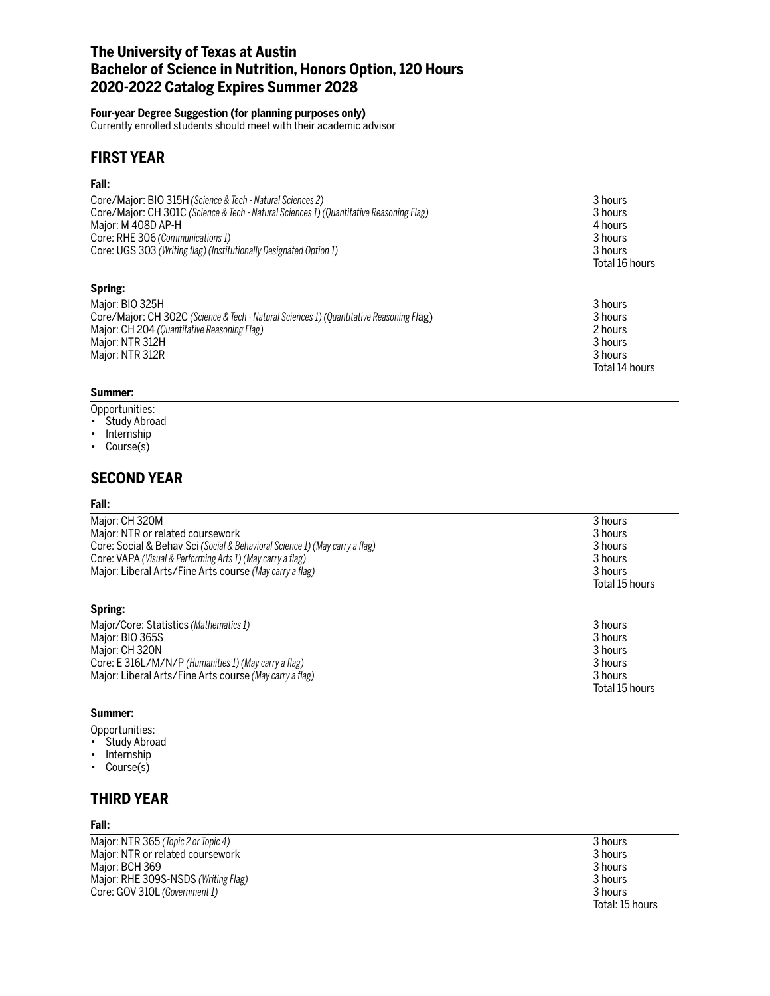# **The University of Texas at Austin Bachelor of Science in Nutrition, Honors Option, 120 Hours 2020-2022 Catalog Expires Summer 2028**

### **Four-year Degree Suggestion (for planning purposes only)**

Currently enrolled students should meet with their academic advisor

# **FIRST YEAR**

### **Fall:**

| Core/Major: BIO 315H (Science & Tech - Natural Sciences 2)                              | 3 hours        |
|-----------------------------------------------------------------------------------------|----------------|
| Core/Major: CH 301C (Science & Tech - Natural Sciences 1) (Quantitative Reasoning Flag) | 3 hours        |
| Major: M 408D AP-H                                                                      | 4 hours        |
| Core: RHE 306 (Communications 1)                                                        | 3 hours        |
| Core: UGS 303 (Writing flag) (Institutionally Designated Option 1)                      | 3 hours        |
|                                                                                         | Total 16 hours |
| Spring:                                                                                 |                |
|                                                                                         |                |

| 3 hours        |
|----------------|
| 3 hours        |
| 2 hours        |
| 3 hours        |
| 3 hours        |
| Total 14 hours |
|                |

### **Summer:**

- Opportunities:
- Study Abroad
- Internship
- Course(s)

# **SECOND YEAR**

### **Fall:**

| Major: CH 320M                                                              | 3 hours        |
|-----------------------------------------------------------------------------|----------------|
| Major: NTR or related coursework                                            | 3 hours        |
| Core: Social & Behav Sci (Social & Behavioral Science 1) (May carry a flag) | 3 hours        |
| Core: VAPA (Visual & Performing Arts 1) (May carry a flag)                  | 3 hours        |
| Major: Liberal Arts/Fine Arts course (May carry a flag)                     | 3 hours        |
|                                                                             | Total 15 hours |
|                                                                             |                |

### **Spring:**

| Major/Core: Statistics (Mathematics 1)                  | 3 hours        |
|---------------------------------------------------------|----------------|
| Major: BIO 365S                                         | 3 hours        |
| Major: CH 320N                                          | 3 hours        |
| Core: E 316L/M/N/P (Humanities 1) (May carry a flag)    | 3 hours        |
| Major: Liberal Arts/Fine Arts course (May carry a flag) | 3 hours        |
|                                                         | Total 15 hours |

### **Summer:**

- Opportunities:
- Study Abroad
- Internship
- Course(s)

# **THIRD YEAR**

### **Fall:**

| Major: NTR 365 (Topic 2 or Topic 4) | 3 hours         |
|-------------------------------------|-----------------|
| Major: NTR or related coursework    | 3 hours         |
| Major: BCH 369                      | 3 hours         |
| Major: RHE 309S-NSDS (Writing Flag) | 3 hours         |
| Core: GOV 310L (Government 1)       | 3 hours         |
|                                     | Total: 15 hours |